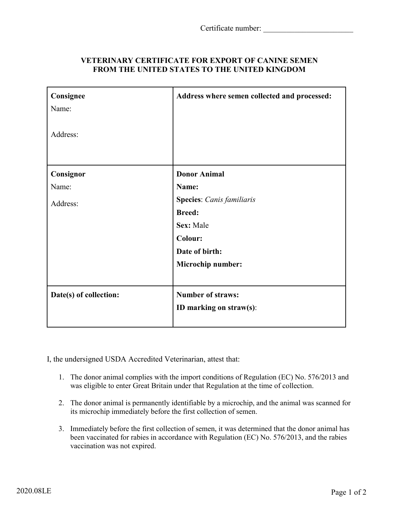| VETERINARY CERTIFICATE FOR EXPORT OF CANINE SEMEN   |
|-----------------------------------------------------|
| <b>FROM THE UNITED STATES TO THE UNITED KINGDOM</b> |

| Consignee              | Address where semen collected and processed: |
|------------------------|----------------------------------------------|
| Name:                  |                                              |
| Address:               |                                              |
| Consignor              | <b>Donor Animal</b>                          |
| Name:                  | Name:                                        |
| Address:               | <b>Species:</b> Canis familiaris             |
|                        | <b>Breed:</b>                                |
|                        | Sex: Male                                    |
|                        | <b>Colour:</b>                               |
|                        | Date of birth:                               |
|                        | Microchip number:                            |
|                        |                                              |
| Date(s) of collection: | <b>Number of straws:</b>                     |
|                        | ID marking on straw(s):                      |
|                        |                                              |

I, the undersigned USDA Accredited Veterinarian, attest that:

- 1. The donor animal complies with the import conditions of Regulation (EC) No. 576/2013 and was eligible to enter Great Britain under that Regulation at the time of collection.
- 2. The donor animal is permanently identifiable by a microchip, and the animal was scanned for its microchip immediately before the first collection of semen.
- 3. Immediately before the first collection of semen, it was determined that the donor animal has been vaccinated for rabies in accordance with Regulation (EC) No. 576/2013, and the rabies vaccination was not expired.